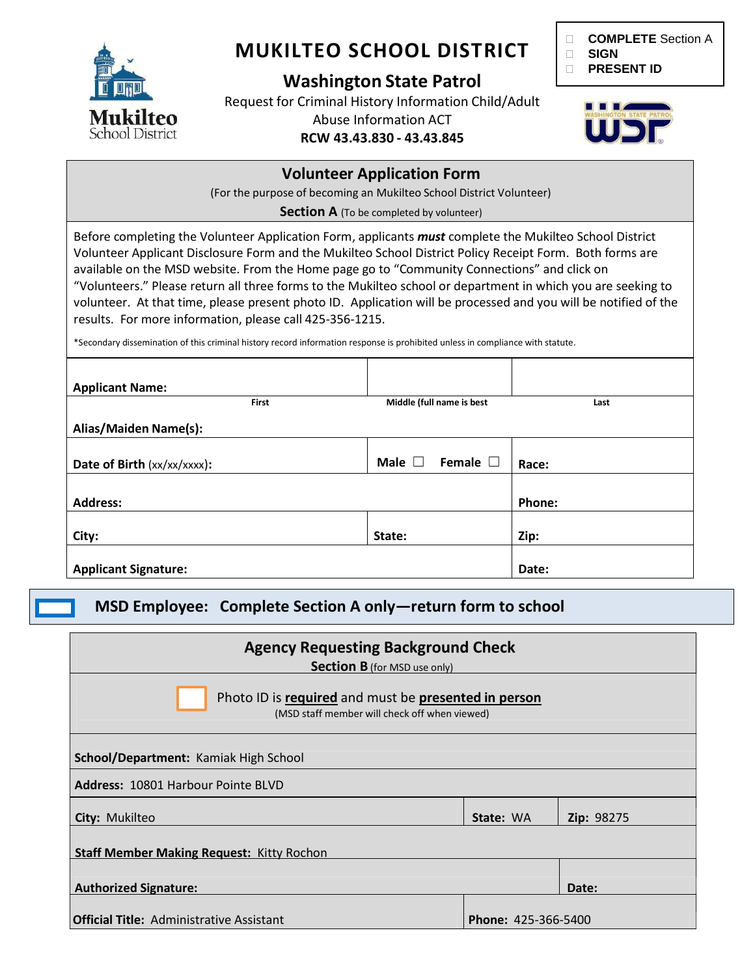

# **MUKILTEO SCHOOL DISTRICT**

### **Washington State Patrol**

Request for Criminal History Information Child/Adult Abuse Information ACT

### **RCW 43.43.830 - 43.43.845**



IIIST.

### **Volunteer Application Form** (For the purpose of becoming an Mukilteo School District Volunteer) **Section A** (To be completed by volunteer) Before completing the Volunteer Application Form, applicants *must* complete the Mukilteo School District

Volunteer Applicant Disclosure Form and the Mukilteo School District Policy Receipt Form. Both forms are available on the MSD website. From the Home page go to "Community Connections" and click on "Volunteers." Please return all three forms to the Mukilteo school or department in which you are seeking to volunteer. At that time, please present photo ID. Application will be processed and you will be notified of the results. For more information, please call 425-356-1215.

\*Secondary dissemination of this criminal history record information response is prohibited unless in compliance with statute.

| <b>Applicant Name:</b>      |                                    |               |
|-----------------------------|------------------------------------|---------------|
| First                       | Middle (full name is best          | Last          |
| Alias/Maiden Name(s):       |                                    |               |
| Date of Birth (xx/xx/xxxx): | Female $\square$<br>Male $\square$ | Race:         |
| <b>Address:</b>             |                                    | <b>Phone:</b> |
| City:                       | State:                             | Zip:          |
| <b>Applicant Signature:</b> |                                    | Date:         |

**MSD Employee: Complete Section A only—return form to school**

| <b>Agency Requesting Background Check</b><br><b>Section B</b> (for MSD use only)                      |                            |                   |  |  |
|-------------------------------------------------------------------------------------------------------|----------------------------|-------------------|--|--|
| Photo ID is required and must be presented in person<br>(MSD staff member will check off when viewed) |                            |                   |  |  |
| School/Department: Kamiak High School                                                                 |                            |                   |  |  |
| <b>Address: 10801 Harbour Pointe BLVD</b>                                                             |                            |                   |  |  |
| City: Mukilteo                                                                                        | State: WA                  | <b>Zip: 98275</b> |  |  |
| <b>Staff Member Making Request: Kitty Rochon</b>                                                      |                            |                   |  |  |
| <b>Authorized Signature:</b>                                                                          |                            | Date:             |  |  |
| <b>Official Title:</b> Administrative Assistant                                                       | <b>Phone: 425-366-5400</b> |                   |  |  |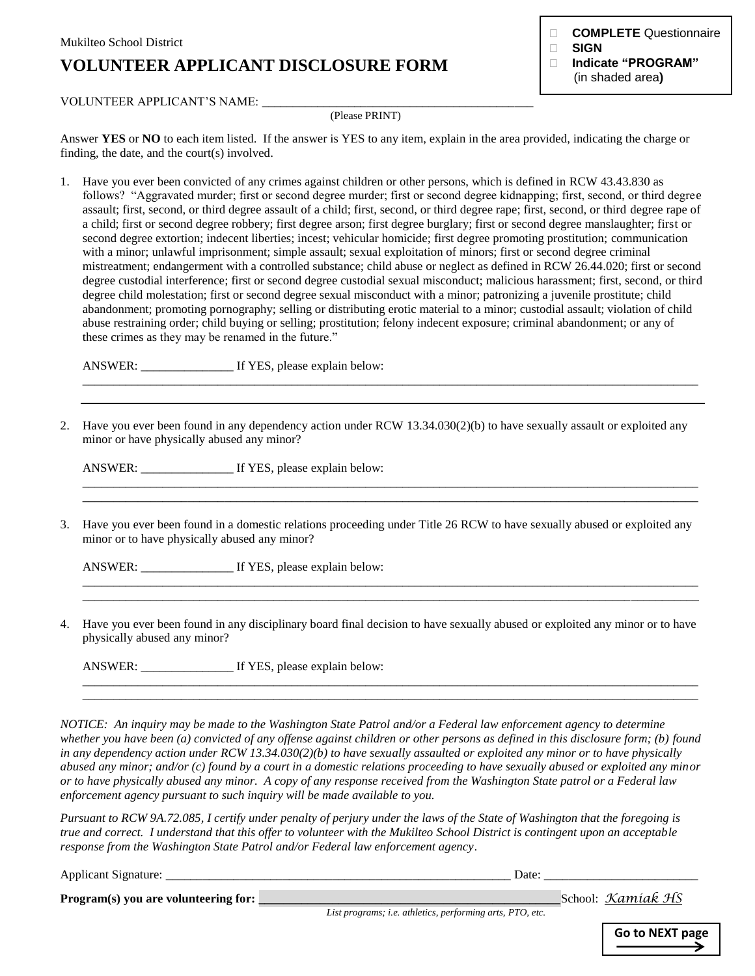## **VOLUNTEER APPLICANT DISCLOSURE FORM**

**COMPLETE** Questionnaire

- **SIGN**
- **Indicate "PROGRAM"** (in shaded area**)**

#### VOLUNTEER APPLICANT'S NAME: \_\_\_\_\_

#### (Please PRINT)

Answer **YES** or **NO** to each item listed. If the answer is YES to any item, explain in the area provided, indicating the charge or finding, the date, and the court(s) involved.

1. Have you ever been convicted of any crimes against children or other persons, which is defined in RCW 43.43.830 as follows? "Aggravated murder; first or second degree murder; first or second degree kidnapping; first, second, or third degree assault; first, second, or third degree assault of a child; first, second, or third degree rape; first, second, or third degree rape of a child; first or second degree robbery; first degree arson; first degree burglary; first or second degree manslaughter; first or second degree extortion; indecent liberties; incest; vehicular homicide; first degree promoting prostitution; communication with a minor; unlawful imprisonment; simple assault; sexual exploitation of minors; first or second degree criminal mistreatment; endangerment with a controlled substance; child abuse or neglect as defined in RCW 26.44.020; first or second degree custodial interference; first or second degree custodial sexual misconduct; malicious harassment; first, second, or third degree child molestation; first or second degree sexual misconduct with a minor; patronizing a juvenile prostitute; child abandonment; promoting pornography; selling or distributing erotic material to a minor; custodial assault; violation of child abuse restraining order; child buying or selling; prostitution; felony indecent exposure; criminal abandonment; or any of these crimes as they may be renamed in the future."

ANSWER: \_\_\_\_\_\_\_\_\_\_\_\_\_\_\_ If YES, please explain below:

2. Have you ever been found in any dependency action under RCW 13.34.030(2)(b) to have sexually assault or exploited any minor or have physically abused any minor?

\_\_\_\_\_\_\_\_\_\_\_\_\_\_\_\_\_\_\_\_\_\_\_\_\_\_\_\_\_\_\_\_\_\_\_\_\_\_\_\_\_\_\_\_\_\_\_\_\_\_\_\_\_\_\_\_\_\_\_\_\_\_\_\_\_\_\_\_\_\_\_\_\_\_\_\_\_\_\_\_\_\_\_\_\_\_\_\_\_\_\_\_\_\_\_\_\_\_\_\_

\_\_\_\_\_\_\_\_\_\_\_\_\_\_\_\_\_\_\_\_\_\_\_\_\_\_\_\_\_\_\_\_\_\_\_\_\_\_\_\_\_\_\_\_\_\_\_\_\_\_\_\_\_\_\_\_\_\_\_\_\_\_\_\_\_\_\_\_\_\_\_\_\_\_\_\_\_\_\_\_\_\_\_\_\_\_\_\_\_\_\_\_\_\_\_\_\_\_\_\_ **\_\_\_\_\_\_\_\_\_\_\_\_\_\_\_\_\_\_\_\_\_\_\_\_\_\_\_\_\_\_\_\_\_\_\_\_\_\_\_\_\_\_\_\_\_\_\_\_\_\_\_\_\_\_\_\_\_\_\_\_\_\_\_\_\_\_\_\_\_\_\_\_\_\_\_\_\_\_\_\_\_\_\_\_\_\_\_\_\_\_\_\_\_\_\_\_\_\_\_\_**

\_\_\_\_\_\_\_\_\_\_\_\_\_\_\_\_\_\_\_\_\_\_\_\_\_\_\_\_\_\_\_\_\_\_\_\_\_\_\_\_\_\_\_\_\_\_\_\_\_\_\_\_\_\_\_\_\_\_\_\_\_\_\_\_\_\_\_\_\_\_\_\_\_\_\_\_\_\_\_\_\_\_\_\_\_\_\_\_\_\_\_\_\_\_\_\_\_\_\_\_ \_\_\_\_\_\_\_\_\_\_\_\_\_\_\_\_\_\_\_\_\_\_\_\_\_\_\_\_\_\_\_\_\_\_\_\_\_\_\_\_\_\_\_\_\_\_\_\_\_\_\_\_\_\_\_\_\_\_\_\_\_\_\_\_\_\_\_\_\_\_\_\_\_\_\_\_\_\_\_\_\_\_\_\_\_\_\_\_\_\_\_\_\_\_\_\_\_\_\_\_

\_\_\_\_\_\_\_\_\_\_\_\_\_\_\_\_\_\_\_\_\_\_\_\_\_\_\_\_\_\_\_\_\_\_\_\_\_\_\_\_\_\_\_\_\_\_\_\_\_\_\_\_\_\_\_\_\_\_\_\_\_\_\_\_\_\_\_\_\_\_\_\_\_\_\_\_\_\_\_\_\_\_\_\_\_\_\_\_\_\_\_\_\_\_\_\_\_\_\_\_ \_\_\_\_\_\_\_\_\_\_\_\_\_\_\_\_\_\_\_\_\_\_\_\_\_\_\_\_\_\_\_\_\_\_\_\_\_\_\_\_\_\_\_\_\_\_\_\_\_\_\_\_\_\_\_\_\_\_\_\_\_\_\_\_\_\_\_\_\_\_\_\_\_\_\_\_\_\_\_\_\_\_\_\_\_\_\_\_\_\_\_\_\_\_\_\_\_\_\_\_

ANSWER: \_\_\_\_\_\_\_\_\_\_\_\_\_\_\_ If YES, please explain below:

3. Have you ever been found in a domestic relations proceeding under Title 26 RCW to have sexually abused or exploited any minor or to have physically abused any minor?

ANSWER: \_\_\_\_\_\_\_\_\_\_\_\_\_\_\_ If YES, please explain below:

4. Have you ever been found in any disciplinary board final decision to have sexually abused or exploited any minor or to have physically abused any minor?

ANSWER: \_\_\_\_\_\_\_\_\_\_\_\_\_\_\_ If YES, please explain below:

*NOTICE: An inquiry may be made to the Washington State Patrol and/or a Federal law enforcement agency to determine whether you have been (a) convicted of any offense against children or other persons as defined in this disclosure form; (b) found in any dependency action under RCW 13.34.030(2)(b) to have sexually assaulted or exploited any minor or to have physically abused any minor; and/or (c) found by a court in a domestic relations proceeding to have sexually abused or exploited any minor or to have physically abused any minor. A copy of any response received from the Washington State patrol or a Federal law enforcement agency pursuant to such inquiry will be made available to you.* 

*Pursuant to RCW 9A.72.085, I certify under penalty of perjury under the laws of the State of Washington that the foregoing is true and correct. I understand that this offer to volunteer with the Mukilteo School District is contingent upon an acceptable response from the Washington State Patrol and/or Federal law enforcement agency*.

Applicant Signature: \_\_\_\_\_\_\_\_\_\_\_\_\_\_\_\_\_\_\_\_\_\_\_\_\_\_\_\_\_\_\_\_\_\_\_\_\_\_\_\_\_\_\_\_\_\_\_\_\_\_\_\_\_\_\_\_ Date: \_\_\_\_\_\_\_\_\_\_\_\_\_\_\_\_\_\_\_\_\_\_\_\_\_

**Program(s) you are volunteering for: \_\_\_\_\_\_\_\_\_\_\_\_\_\_\_\_\_\_\_\_\_\_\_\_\_\_\_\_\_\_\_\_\_\_\_\_\_\_\_\_\_\_\_\_\_\_\_\_\_**School: *Kamiak HS*

*List programs; i.e. athletics, performing arts, PTO, etc.*